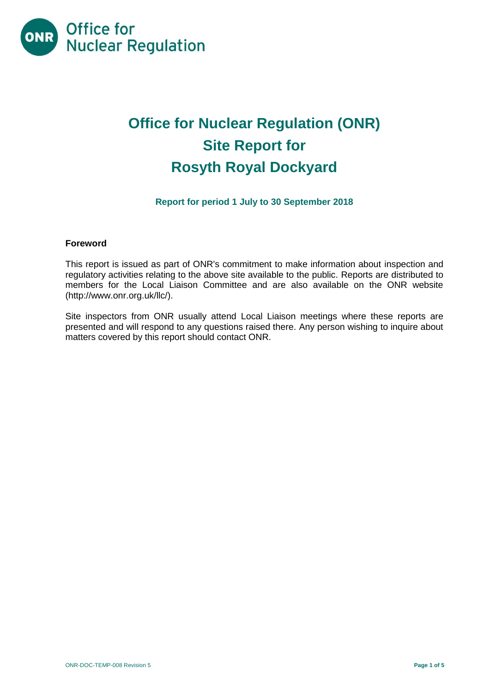

# **Office for Nuclear Regulation (ONR) Site Report for Rosyth Royal Dockyard**

# **Report for period 1 July to 30 September 2018**

#### **Foreword**

This report is issued as part of ONR's commitment to make information about inspection and regulatory activities relating to the above site available to the public. Reports are distributed to members for the Local Liaison Committee and are also available on the ONR website [\(http://www.onr.org.uk/llc/\)](http://www.onr.org.uk/llc/).

Site inspectors from ONR usually attend Local Liaison meetings where these reports are presented and will respond to any questions raised there. Any person wishing to inquire about matters covered by this report should contact ONR.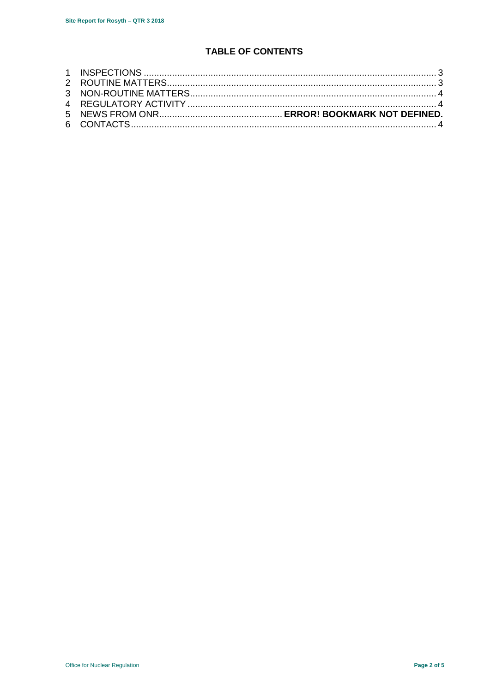# **TABLE OF CONTENTS**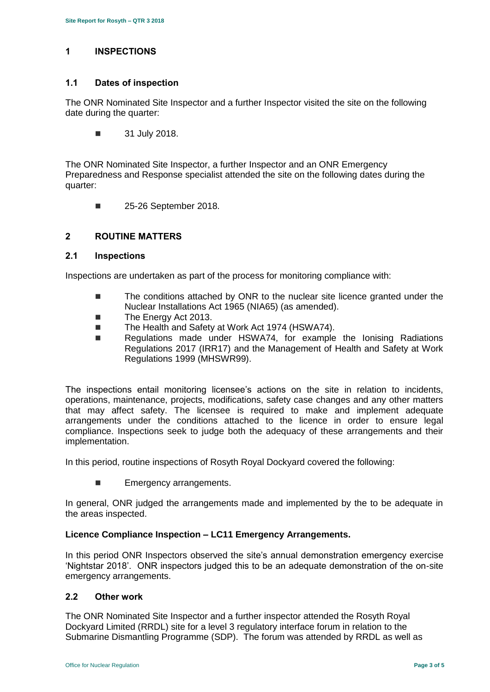# <span id="page-2-0"></span>**1 INSPECTIONS**

#### **1.1 Dates of inspection**

The ONR Nominated Site Inspector and a further Inspector visited the site on the following date during the quarter:

**31 July 2018.** 

The ONR Nominated Site Inspector, a further Inspector and an ONR Emergency Preparedness and Response specialist attended the site on the following dates during the quarter:

**25-26 September 2018.** 

# <span id="page-2-1"></span>**2 ROUTINE MATTERS**

#### **2.1 Inspections**

Inspections are undertaken as part of the process for monitoring compliance with:

- The conditions attached by ONR to the nuclear site licence granted under the Nuclear Installations Act 1965 (NIA65) (as amended).
- The Energy Act 2013.
- The Health and Safety at Work Act 1974 (HSWA74).
- Regulations made under HSWA74, for example the Ionising Radiations Regulations 2017 (IRR17) and the Management of Health and Safety at Work Regulations 1999 (MHSWR99).

The inspections entail monitoring licensee's actions on the site in relation to incidents, operations, maintenance, projects, modifications, safety case changes and any other matters that may affect safety. The licensee is required to make and implement adequate arrangements under the conditions attached to the licence in order to ensure legal compliance. Inspections seek to judge both the adequacy of these arrangements and their implementation.

In this period, routine inspections of Rosyth Royal Dockyard covered the following:

**Emergency arrangements.** 

In general, ONR judged the arrangements made and implemented by the to be adequate in the areas inspected.

#### **Licence Compliance Inspection – LC11 Emergency Arrangements.**

In this period ONR Inspectors observed the site's annual demonstration emergency exercise 'Nightstar 2018'. ONR inspectors judged this to be an adequate demonstration of the on-site emergency arrangements.

#### **2.2 Other work**

The ONR Nominated Site Inspector and a further inspector attended the Rosyth Royal Dockyard Limited (RRDL) site for a level 3 regulatory interface forum in relation to the Submarine Dismantling Programme (SDP). The forum was attended by RRDL as well as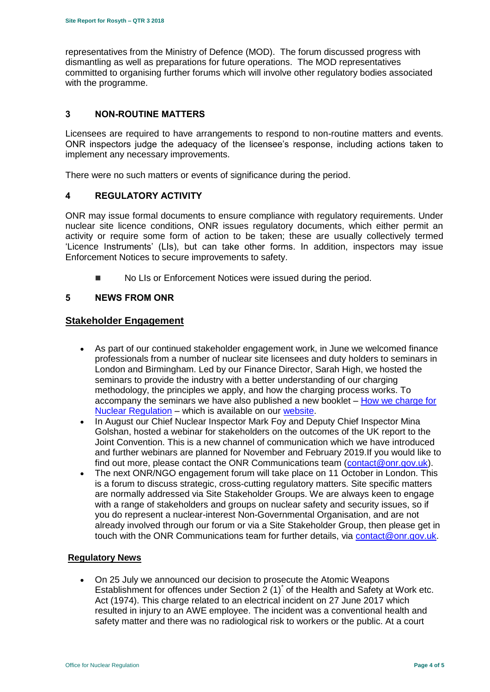representatives from the Ministry of Defence (MOD). The forum discussed progress with dismantling as well as preparations for future operations. The MOD representatives committed to organising further forums which will involve other regulatory bodies associated with the programme.

#### <span id="page-3-0"></span>**3 NON-ROUTINE MATTERS**

Licensees are required to have arrangements to respond to non-routine matters and events. ONR inspectors judge the adequacy of the licensee's response, including actions taken to implement any necessary improvements.

There were no such matters or events of significance during the period.

#### <span id="page-3-1"></span>**4 REGULATORY ACTIVITY**

ONR may issue formal documents to ensure compliance with regulatory requirements. Under nuclear site licence conditions, ONR issues regulatory documents, which either permit an activity or require some form of action to be taken; these are usually collectively termed 'Licence Instruments' (LIs), but can take other forms. In addition, inspectors may issue Enforcement Notices to secure improvements to safety.

No LIs or Enforcement Notices were issued during the period.

#### <span id="page-3-2"></span>**5 NEWS FROM ONR**

#### **Stakeholder Engagement**

- As part of our continued stakeholder engagement work, in June we welcomed finance professionals from a number of nuclear site licensees and duty holders to seminars in London and Birmingham. Led by our Finance Director, Sarah High, we hosted the seminars to provide the industry with a better understanding of our charging methodology, the principles we apply, and how the charging process works. To accompany the seminars we have also published a new booklet – [How we charge for](http://www.onr.org.uk/documents/2018/how-we-charge-for-nuclear-regulation.pdf)  [Nuclear Regulation](http://www.onr.org.uk/documents/2018/how-we-charge-for-nuclear-regulation.pdf) – which is available on our [website.](http://www.onr.org.uk/documents/2018/how-we-charge-for-nuclear-regulation.pdf)
- In August our Chief Nuclear Inspector Mark Foy and Deputy Chief Inspector Mina Golshan, hosted a webinar for stakeholders on the outcomes of the UK report to the Joint Convention. This is a new channel of communication which we have introduced and further webinars are planned for November and February 2019.If you would like to find out more, please contact the ONR Communications team [\(contact@onr.gov.uk\)](mailto:contact@onr.gov.uk).
- The next ONR/NGO engagement forum will take place on 11 October in London. This is a forum to discuss strategic, cross-cutting regulatory matters. Site specific matters are normally addressed via Site Stakeholder Groups. We are always keen to engage with a range of stakeholders and groups on nuclear safety and security issues, so if you do represent a nuclear-interest Non-Governmental Organisation, and are not already involved through our forum or via a Site Stakeholder Group, then please get in touch with the ONR Communications team for further details, via [contact@onr.gov.uk.](mailto:contact@onr.gov.uk)

#### **Regulatory News**

 On 25 July we announced our decision to prosecute the Atomic Weapons Establishment for offences under Section 2 (1)<sup>\*</sup> of the Health and Safety at Work etc. Act (1974). This charge related to an electrical incident on 27 June 2017 which resulted in injury to an AWE employee. The incident was a conventional health and safety matter and there was no radiological risk to workers or the public. At a court